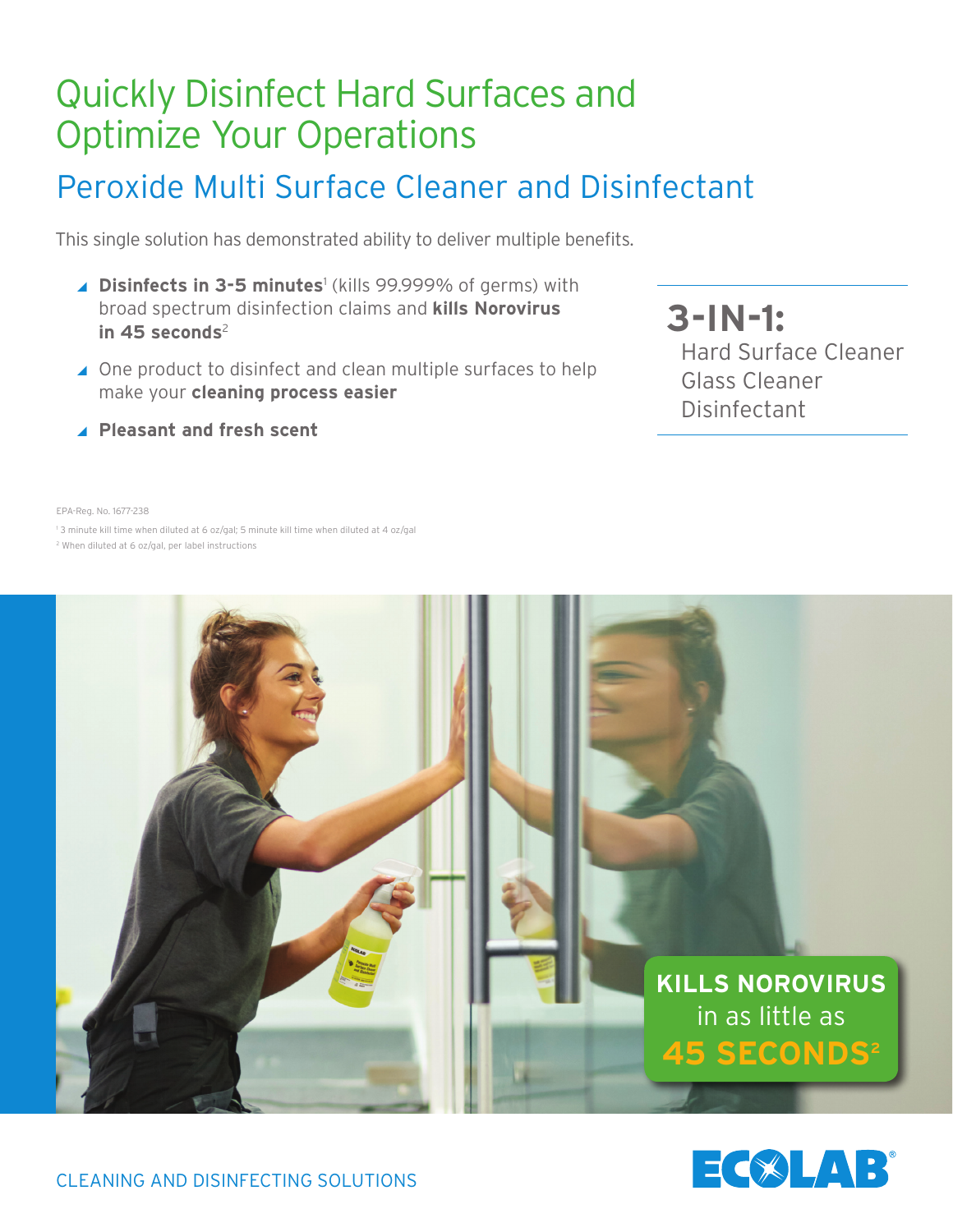# Quickly Disinfect Hard Surfaces and Optimize Your Operations

## Peroxide Multi Surface Cleaner and Disinfectant

This single solution has demonstrated ability to deliver multiple benefits.

- ▲ Disinfects in 3-5 minutes<sup>1</sup> (kills 99.999% of germs) with broad spectrum disinfection claims and **kills Norovirus**  in 45 seconds<sup>2</sup>
- ▲ One product to disinfect and clean multiple surfaces to help make your **cleaning process easier**
- **3-IN-1:** Hard Surface Cleaner Glass Cleaner Disinfectant

**Pleasant and fresh scent**

EPA-Reg. No. 1677-238

1 3 minute kill time when diluted at 6 oz/gal; 5 minute kill time when diluted at 4 oz/gal 2 When diluted at 6 oz/gal, per label instructions